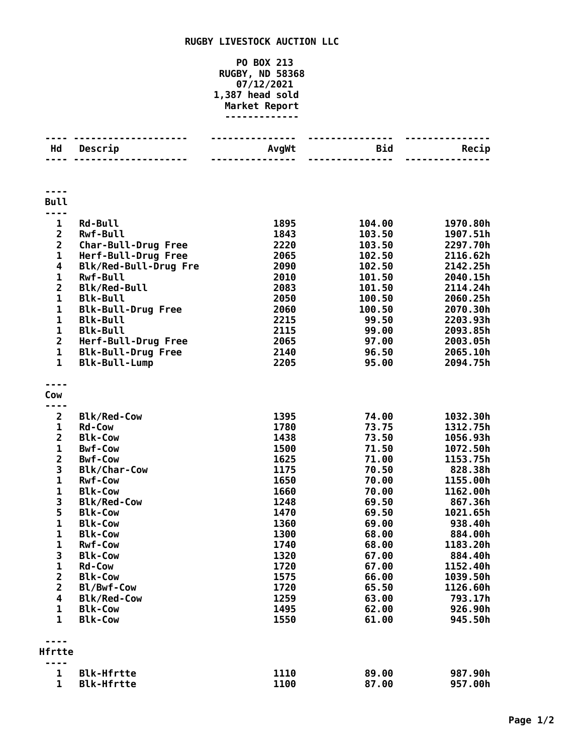## **RUGBY LIVESTOCK AUCTION LLC**

## **PO BOX 213 RUGBY, ND 58368 07/12/2021 1,387 head sold Market Report -------------**

| Hd                      | Descrip                           | AvgWt        | Bid              | Recip                |
|-------------------------|-----------------------------------|--------------|------------------|----------------------|
|                         |                                   |              | $\frac{1}{2}$    |                      |
| <b>Bull</b>             |                                   |              |                  |                      |
|                         |                                   |              |                  |                      |
| 1<br>$\overline{2}$     | <b>Rd-Bull</b><br><b>Rwf-Bull</b> | 1895<br>1843 | 104.00<br>103.50 | 1970.80h<br>1907.51h |
| $\overline{2}$          | <b>Char-Bull-Drug Free</b>        | 2220         | 103.50           | 2297.70h             |
| $\mathbf 1$             | Herf-Bull-Drug Free               | 2065         | 102.50           | 2116.62h             |
| $\overline{\mathbf{4}}$ | Blk/Red-Bull-Drug Fre             | 2090         | 102.50           | 2142.25h             |
| $\mathbf{1}$            | <b>Rwf-Bull</b>                   | 2010         | 101.50           | 2040.15h             |
| $\overline{\mathbf{c}}$ | <b>Blk/Red-Bull</b>               | 2083         | 101.50           | 2114.24h             |
| $\mathbf{1}$            | <b>Blk-Bull</b>                   | 2050         | 100.50           | 2060.25h             |
| $\mathbf 1$             | <b>Blk-Bull-Drug Free</b>         | 2060         | 100.50           | 2070.30h             |
| $\mathbf 1$             | <b>Blk-Bull</b>                   | 2215         | 99.50            | 2203.93h             |
| $\mathbf 1$             | <b>Blk-Bull</b>                   | 2115         | 99.00            | 2093.85h             |
| $\overline{2}$          | Herf-Bull-Drug Free               | 2065         | 97.00            | 2003.05h             |
| $\mathbf{1}$            | <b>Blk-Bull-Drug Free</b>         | 2140         | 96.50            | 2065.10h             |
| $\mathbf{1}$            | <b>Blk-Bull-Lump</b>              | 2205         | 95.00            | 2094.75h             |
| Cow                     |                                   |              |                  |                      |
|                         |                                   |              |                  |                      |
| $\overline{2}$          | <b>Blk/Red-Cow</b>                | 1395         | 74.00            | 1032.30h             |
| 1                       | <b>Rd-Cow</b>                     | 1780         | 73.75            | 1312.75h             |
| $\overline{2}$          | <b>Blk-Cow</b>                    | 1438         | 73.50            | 1056.93h             |
| $\mathbf{1}$            | <b>Bwf-Cow</b>                    | 1500         | 71.50            | 1072.50h             |
| $\overline{\mathbf{c}}$ | <b>Bwf-Cow</b>                    | 1625         | 71.00            | 1153.75h             |
| 3                       | <b>Blk/Char-Cow</b>               | 1175         | 70.50            | 828.38h              |
| $\mathbf{1}$            | <b>Rwf-Cow</b>                    | 1650         | 70.00            | 1155.00h             |
| $\mathbf 1$             | <b>Blk-Cow</b>                    | 1660         | 70.00            | 1162.00h             |
| 3                       | <b>Blk/Red-Cow</b>                | 1248         | 69.50            | 867.36h              |
| 5                       | <b>Blk-Cow</b>                    | 1470         | 69.50            | 1021.65h             |
| $\mathbf{1}$            | <b>Blk-Cow</b>                    | 1360         | 69.00            | 938.40h              |
| $\mathbf{1}$            | <b>Blk-Cow</b>                    | 1300         | 68.00            | 884.00h              |
| $\mathbf{1}$            | <b>Rwf-Cow</b>                    | 1740         | 68.00            | 1183.20h             |
| 3                       | <b>Blk-Cow</b>                    | 1320         | 67.00            | 884.40h              |
| 1<br>$\overline{2}$     | <b>Rd-Cow</b>                     | 1720         | 67.00            | 1152.40h             |
| $\overline{2}$          | <b>Blk-Cow</b><br>Bl/Bwf-Cow      | 1575<br>1720 | 66.00<br>65.50   | 1039.50h<br>1126.60h |
| 4                       | <b>Blk/Red-Cow</b>                | 1259         | 63.00            | 793.17h              |
| 1                       | <b>Blk-Cow</b>                    | 1495         | 62.00            | 926.90h              |
| 1                       | <b>Blk-Cow</b>                    | 1550         | 61.00            | 945.50h              |
|                         |                                   |              |                  |                      |
| Hfrtte                  |                                   |              |                  |                      |
| 1                       | <b>Blk-Hfrtte</b>                 | 1110         | 89.00            | 987.90h              |
| 1                       | <b>Blk-Hfrtte</b>                 | 1100         | 87.00            | 957.00h              |